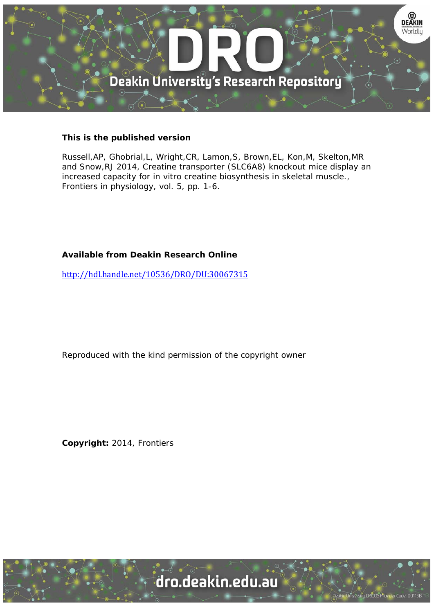

# **This is the published version**

Russell,AP, Ghobrial,L, Wright,CR, Lamon,S, Brown,EL, Kon,M, Skelton,MR and Snow,RJ 2014, Creatine transporter (SLC6A8) knockout mice display an increased capacity for in vitro creatine biosynthesis in skeletal muscle., Frontiers in physiology, vol. 5, pp. 1-6.

# **Available from Deakin Research Online**

http://hdl.handle.net/10536/DRO/DU:30067315

Reproduced with the kind permission of the copyright owner

**Copyright:** 2014, Frontiers

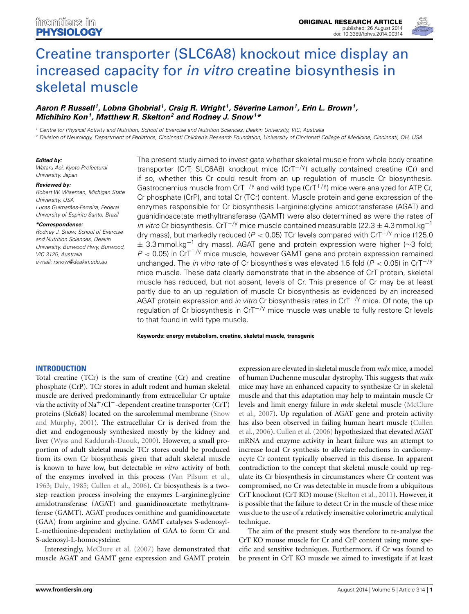

# [Creatine transporter \(SLC6A8\) knockout mice display an](http://www.frontiersin.org/journal/10.3389/fphys.2014.00314/abstract) increased capacity for *in vitro* creatine biosynthesis in skeletal muscle

## *[Aaron P. Russell](http://community.frontiersin.org/people/u/38462) 1, [Lobna Ghobrial](http://community.frontiersin.org/people/u/170850) 1, [Craig R. Wright](http://community.frontiersin.org/people/u/134165) 1, [Séverine Lamon1](http://community.frontiersin.org/people/u/74986), [Erin L. Brown1](http://community.frontiersin.org/people/u/155093), [Michihiro Kon](http://community.frontiersin.org/people/u/176294)1, Matthew R. Skelton2 and Rodney J. Snow1 \**

*<sup>1</sup> Centre for Physical Activity and Nutrition, School of Exercise and Nutrition Sciences, Deakin University, VIC, Australia*

*<sup>2</sup> Division of Neurology, Department of Pediatrics, Cincinnati Children's Research Foundation, University of Cincinnati College of Medicine, Cincinnati, OH, USA*

#### *Edited by:*

*Wataru Aoi, Kyoto Prefectural University, Japan*

#### *Reviewed by:*

*Robert W. Wiseman, Michigan State University, USA Lucas Guimarães-Ferreira, Federal University of Espirito Santo, Brazil*

#### *\*Correspondence:*

*Rodney J. Snow, School of Exercise and Nutrition Sciences, Deakin University, Burwood Hwy, Burwood, VIC 3125, Australia e-mail: [rsnow@deakin.edu.au](mailto:rsnow@deakin.edu.au)*

The present study aimed to investigate whether skeletal muscle from whole body creatine transporter (CrT; SLC6A8) knockout mice (CrT−*/*y) actually contained creatine (Cr) and if so, whether this Cr could result from an up regulation of muscle Cr biosynthesis. Gastrocnemius muscle from CrT−*/*<sup>y</sup> and wild type (CrT+*/*y) mice were analyzed for ATP, Cr, Cr phosphate (CrP), and total Cr (TCr) content. Muscle protein and gene expression of the enzymes responsible for Cr biosynthesis L-arginine:glycine amidotransferase (AGAT) and guanidinoacetate methyltransferase (GAMT) were also determined as were the rates of *in vitro* Cr biosynthesis. CrT−*/*<sup>y</sup> mice muscle contained measurable (22.3 <sup>±</sup> 4.3 mmol.kg−<sup>1</sup> dry mass), but markedly reduced (*P <* 0*.*05) TCr levels compared with CrT+*/*<sup>y</sup> mice (125.0  $±$  3.3 mmol.kg<sup>-1</sup> dry mass). AGAT gene and protein expression were higher (~3 fold; *P* < 0.05) in CrT<sup>−/y</sup> mice muscle, however GAMT gene and protein expression remained unchanged. The *in vitro* rate of Cr biosynthesis was elevated 1.5 fold (*P <* 0*.*05) in CrT−*/*<sup>y</sup> mice muscle. These data clearly demonstrate that in the absence of CrT protein, skeletal muscle has reduced, but not absent, levels of Cr. This presence of Cr may be at least partly due to an up regulation of muscle Cr biosynthesis as evidenced by an increased AGAT protein expression and *in vitro* Cr biosynthesis rates in CrT−*/*<sup>y</sup> mice. Of note, the up regulation of Cr biosynthesis in CrT−*/*<sup>y</sup> mice muscle was unable to fully restore Cr levels to that found in wild type muscle.

**Keywords: energy metabolism, creatine, skeletal muscle, transgenic**

#### **INTRODUCTION**

Total creatine (TCr) is the sum of creatine (Cr) and creatine phosphate (CrP). TCr stores in adult rodent and human skeletal muscle are derived predominantly from extracellular Cr uptake via the activity of Na+/Cl−-dependent creatine transporter (CrT) proteins (Slc[6a8\)](#page-6-0) [located](#page-6-0) [on](#page-6-0) [the](#page-6-0) [sarcolemmal](#page-6-0) [membrane](#page-6-0) [\(](#page-6-0)Snow and Murphy, [2001\)](#page-6-0). The extracellular Cr is derived from the diet and endogenously synthesized mostly by the kidney and liver [\(Wyss and Kaddurah-Daouk, 2000\)](#page-6-1). However, a small proportion of adult skeletal muscle TCr stores could be produced from its own Cr biosynthesis given that adult skeletal muscle is known to have low, but detectable *in vitro* activity of both of the enzymes involved in this process [\(Van Pilsum et al.,](#page-6-2) [1963](#page-6-2); [Daly, 1985](#page-6-3); [Cullen et al., 2006\)](#page-6-4). Cr biosynthesis is a twostep reaction process involving the enzymes L-arginine:glycine amidotransferase (AGAT) and guanidinoacetate methyltransferase (GAMT). AGAT produces ornithine and guanidinoacetate (GAA) from arginine and glycine. GAMT catalyses S-adenosyl-L-methionine-dependent methylation of GAA to form Cr and S-adenosyl-L-homocysteine.

Interestingly, [McClure et al.](#page-6-5) [\(2007\)](#page-6-5) have demonstrated that muscle AGAT and GAMT gene expression and GAMT protein

expression are elevated in skeletal muscle from *mdx* mice, a model of human Duchenne muscular dystrophy. This suggests that *mdx* mice may have an enhanced capacity to synthesize Cr in skeletal muscle and that this adaptation may help to maintain muscle Cr level[s and limit energy failure in](#page-6-5) *mdx* skeletal muscle (McClure et al., [2007\)](#page-6-5). Up regulation of AGAT gene and protein activity has [also been observed in failing human heart muscle \(](#page-6-4)Cullen et al., [2006](#page-6-4)). [Cullen et al.](#page-6-4) [\(2006](#page-6-4)) hypothesized that elevated AGAT mRNA and enzyme activity in heart failure was an attempt to increase local Cr synthesis to alleviate reductions in cardiomyocyte Cr content typically observed in this disease. In apparent contradiction to the concept that skeletal muscle could up regulate its Cr biosynthesis in circumstances where Cr content was compromised, no Cr was detectable in muscle from a ubiquitous CrT knockout (CrT KO) mouse [\(Skelton et al.](#page-6-6), [2011\)](#page-6-6). However, it is possible that the failure to detect Cr in the muscle of these mice was due to the use of a relatively insensitive colorimetric analytical technique.

The aim of the present study was therefore to re-analyse the CrT KO mouse muscle for Cr and CrP content using more specific and sensitive techniques. Furthermore, if Cr was found to be present in CrT KO muscle we aimed to investigate if at least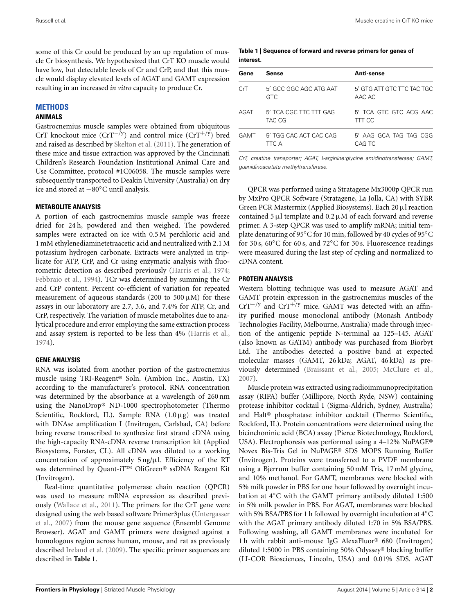some of this Cr could be produced by an up regulation of muscle Cr biosynthesis. We hypothesized that CrT KO muscle would have low, but detectable levels of Cr and CrP, and that this muscle would display elevated levels of AGAT and GAMT expression resulting in an increased *in vitro* capacity to produce Cr.

## **METHODS**

#### **ANIMALS**

Gastrocnemius muscle samples were obtained from ubiquitous CrT knockout mice (CrT−*/*y) and control mice (CrT+*/*y) bred and raised as described by [Skelton et al.](#page-6-6) [\(2011\)](#page-6-6). The generation of these mice and tissue extraction was approved by the Cincinnati Children's Research Foundation Institutional Animal Care and Use Committee, protocol #1C06058. The muscle samples were subsequently transported to Deakin University (Australia) on dry ice and stored at −80◦C until analysis.

#### **METABOLITE ANALYSIS**

A portion of each gastrocnemius muscle sample was freeze dried for 24 h, powdered and then weighed. The powdered samples were extracted on ice with 0.5 M perchloric acid and 1 mM ethylenediaminetetraacetic acid and neutralized with 2.1 M potassium hydrogen carbonate. Extracts were analyzed in triplicate for ATP, CrP, and Cr using enzymatic analysis with fluorometric detection as described previously [\(Harris et al.](#page-6-7), [1974;](#page-6-7) [Febbraio et al., 1994](#page-6-8)). TCr was determined by summing the Cr and CrP content. Percent co-efficient of variation for repeated measurement of aqueous standards (200 to  $500 \mu M$ ) for these assays in our laboratory are 2.7, 3.6, and 7.4% for ATP, Cr, and CrP, respectively. The variation of muscle metabolites due to analytical procedure and error employing the same extraction process and assay system is reported to be less than 4% [\(Harris et al.](#page-6-7), [1974](#page-6-7)).

#### **GENE ANALYSIS**

RNA was isolated from another portion of the gastrocnemius muscle using TRI-Reagent® Soln. (Ambion Inc., Austin, TX) according to the manufacturer's protocol. RNA concentration was determined by the absorbance at a wavelength of 260 nm using the NanoDrop® ND-1000 spectrophotometer (Thermo Scientific, Rockford, IL). Sample RNA  $(1.0 \mu g)$  was treated with DNAse amplification I (Invitrogen, Carlsbad, CA) before being reverse transcribed to synthesize first strand cDNA using the high-capacity RNA-cDNA reverse transcription kit (Applied Biosystems, Forster, CL). All cDNA was diluted to a working concentration of approximately 5 ng/μl. Efficiency of the RT was determined by Quant-iT™ OliGreen® ssDNA Reagent Kit (Invitrogen).

Real-time quantitative polymerase chain reaction (QPCR) was used to measure mRNA expression as described previously [\(Wallace et al., 2011](#page-6-9)). The primers for the CrT gene were desi[gned using the web based software Primer3plus \(](#page-6-10)Untergasser et al., [2007](#page-6-10)) from the mouse gene sequence (Ensembl Genome Browser). AGAT and GAMT primers were designed against a homologous region across human, mouse, and rat as previously described [Ireland et al.](#page-6-11) [\(2009\)](#page-6-11). The specific primer sequences are described in **[Table 1](#page-2-0)**.

#### <span id="page-2-0"></span>**Table 1 | Sequence of forward and reverse primers for genes of interest.**

| Gene | Sense                                | Anti-sense                           |
|------|--------------------------------------|--------------------------------------|
| CrT  | 5' GCC GGC AGC ATG AAT<br><b>GTC</b> | 5' GTG ATT GTC TTC TAC TGC<br>AAC AC |
| AGAT | 5' TCA CGC TTC TTT GAG<br>TAC CG     | 5' TCA GTC GTC ACG AAC<br>TTT CC     |
| GAMT | 5' TGG CAC ACT CAC CAG<br>TTC A      | 5' AAG GCA TAG TAG CGG<br>CAG TC     |

*CrT, creatine transporter; AGAT, L-arginine:glycine amidinotransferase; GAMT, guanidinoacetate methyltransferase.*

QPCR was performed using a Stratagene Mx3000p QPCR run by MxPro QPCR Software (Stratagene, La Jolla, CA) with SYBR Green PCR Mastermix (Applied Biosystems). Each 20μl reaction contained 5 μl template and  $0.2 \mu M$  of each forward and reverse primer. A 3-step QPCR was used to amplify mRNA; initial template denaturing of 95◦C for 10 min, followed by 40 cycles of 95◦C for 30 s, 60◦C for 60 s, and 72◦C for 30 s. Fluorescence readings were measured during the last step of cycling and normalized to cDNA content.

#### **PROTEIN ANALYSIS**

Western blotting technique was used to measure AGAT and GAMT protein expression in the gastrocnemius muscles of the CrT−*/*<sup>y</sup> and CrT+*/*<sup>y</sup> mice. GAMT was detected with an affinity purified mouse monoclonal antibody (Monash Antibody Technologies Facility, Melbourne, Australia) made through injection of the antigenic peptide N-terminal aa 125–145. AGAT (also known as GATM) antibody was purchased from Biorbyt Ltd. The antibodies detected a positive band at expected molecular masses (GAMT, 26 kDa; AGAT, 46 kDa) as previously determined [\(Braissant et al., 2005](#page-5-0); [McClure et al.](#page-6-5), [2007](#page-6-5)).

Muscle protein was extracted using radioimmunoprecipitation assay (RIPA) buffer (Millipore, North Ryde, NSW) containing protease inhibitor cocktail I (Sigma-Aldrich, Sydney, Australia) and Halt® phosphatase inhibitor cocktail (Thermo Scientific, Rockford, IL). Protein concentrations were determined using the bicinchoninic acid (BCA) assay (Pierce Biotechnology, Rockford, USA). Electrophoresis was performed using a 4–12% NuPAGE® Novex Bis-Tris Gel in NuPAGE® SDS MOPS Running Buffer (Invitrogen). Proteins were transferred to a PVDF membrane using a Bjerrum buffer containing 50 mM Tris, 17 mM glycine, and 10% methanol. For GAMT, membranes were blocked with 5% milk powder in PBS for one hour followed by overnight incubation at 4◦C with the GAMT primary antibody diluted 1:500 in 5% milk powder in PBS. For AGAT, membranes were blocked with 5% BSA/PBS for 1 h followed by overnight incubation at 4◦C with the AGAT primary antibody diluted 1:70 in 5% BSA/PBS. Following washing, all GAMT membranes were incubated for 1 h with rabbit anti-mouse IgG AlexaFluor® 680 (Invitrogen) diluted 1:5000 in PBS containing 50% Odyssey® blocking buffer (LI-COR Biosciences, Lincoln, USA) and 0.01% SDS. AGAT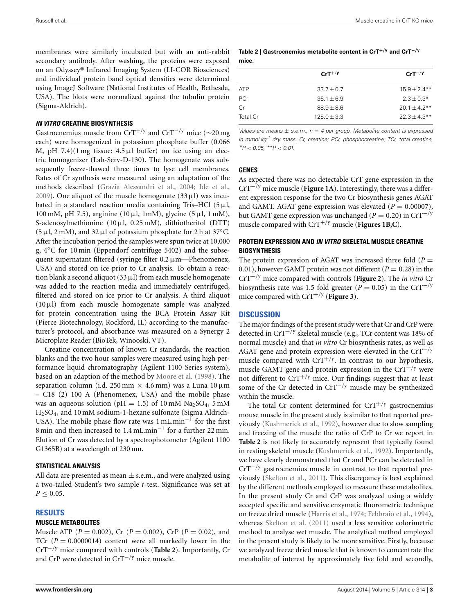membranes were similarly incubated but with an anti-rabbit secondary antibody. After washing, the proteins were exposed on an Odyssey® Infrared Imaging System (LI-COR Biosciences) and individual protein band optical densities were determined using ImageJ Software (National Institutes of Health, Bethesda, USA). The blots were normalized against the tubulin protein (Sigma-Aldrich).

#### *IN VITRO* **CREATINE BIOSYNTHESIS**

Gastrocnemius muscle from CrT+*/*<sup>y</sup> and CrT−*/*<sup>y</sup> mice (∼20 mg each) were homogenized in potassium phosphate buffer (0.066 M, pH 7.4)(1 mg tissue:  $4.5 \mu l$  buffer) on ice using an electric homogenizer (Lab-Serv-D-130). The homogenate was subsequently freeze-thawed three times to lyse cell membranes. Rates of Cr synthesis were measured using an adaptation of the methods described [\(Grazia Alessandri et al.](#page-6-12), [2004](#page-6-12); [Ide et al.,](#page-6-13) [2009](#page-6-13)). One aliquot of the muscle homogenate  $(33 \mu I)$  was incubated in a standard reaction media containing Tris–HCl  $(5 \mu l,$ 100 mM, pH 7.5), arginine (10  $\mu$ l, 1 mM), glycine (5  $\mu$ l, 1 mM), S-adenosylmethionine (10μl, 0.25 mM), dithiotheritol (DTT) (5  $\mu$ l, 2 mM), and 32  $\mu$ l of potassium phosphate for 2 h at 37°C. After the incubation period the samples were spun twice at 10,000 g, 4◦C for 10 min (Eppendorf centrifuge 5402) and the subsequent supernatant filtered (syringe filter  $0.2 \mu$ m—Phenomenex, USA) and stored on ice prior to Cr analysis. To obtain a reaction blank a second aliquot  $(33 \mu l)$  from each muscle homogenate was added to the reaction media and immediately centrifuged, filtered and stored on ice prior to Cr analysis. A third aliquot  $(10 \mu l)$  from each muscle homogenate sample was analyzed for protein concentration using the BCA Protein Assay Kit (Pierce Biotechnology, Rockford, IL) according to the manufacturer's protocol, and absorbance was measured on a Synergy 2 Microplate Reader (BioTek, Winooski, VT).

Creatine concentration of known Cr standards, the reaction blanks and the two hour samples were measured using high performance liquid chromatography (Agilent 1100 Series system), based on an adaption of the method by [Moore et al.](#page-6-14) [\(1998\)](#page-6-14). The separation column (i.d. 250 mm  $\times$  4.6 mm) was a Luna 10  $\mu$ m – C18 (2) 100 A (Phenomenex, USA) and the mobile phase was an aqueous solution (pH = 1.5) of 10 mM Na<sub>2</sub>SO<sub>4</sub>, 5 mM H2SO4, and 10 mM sodium-1-hexane sulfonate (Sigma Aldrich-USA). The mobile phase flow rate was 1 mL.min<sup>-1</sup> for the first 8 min and then increased to 1.4 mL.min−<sup>1</sup> for a further 22 min. Elution of Cr was detected by a spectrophotometer (Agilent 1100 G1365B) at a wavelength of 230 nm.

#### **STATISTICAL ANALYSIS**

All data are presented as mean  $\pm$  s.e.m., and were analyzed using a two-tailed Student's two sample *t*-test. Significance was set at  $P \leq 0.05$ .

#### **RESULTS**

#### **MUSCLE METABOLITES**

Muscle ATP (*P* = 0*.*002), Cr (*P* = 0*.*002), CrP (*P* = 0*.*02), and TCr  $(P = 0.0000014)$  content were all markedly lower in the CrT−*/*<sup>y</sup> mice compared with controls (**[Table 2](#page-3-0)**). Importantly, Cr and CrP were detected in CrT−*/*<sup>y</sup> mice muscle.

#### <span id="page-3-0"></span>**Table 2 | Gastrocnemius metabolite content in CrT+***/***<sup>y</sup> and CrT−***/***<sup>y</sup> mice.**

|                 | $CrT^{+/Y}$   | $CrT^{-/\gamma}$ |  |
|-----------------|---------------|------------------|--|
| <b>ATP</b>      | $33.7 + 0.7$  | $15.9 + 2.4**$   |  |
| PCr             | $36.1 + 6.9$  | $2.3 + 0.3*$     |  |
| Cr              | $88.9 + 8.6$  | $20.1 + 4.2**$   |  |
| <b>Total Cr</b> | $125.0 + 3.3$ | $22.3 + 4.3**$   |  |
|                 |               |                  |  |

*Values are means* ± *s.e.m., n* = *4 per group. Metabolite content is expressed in mmol.kg-1 dry mass. Cr, creatine; PCr, phosphocreatine; TCr, total creatine, \*P < 0.05, \*\*P < 0.01.*

#### **GENES**

As expected there was no detectable CrT gene expression in the CrT−*/*<sup>y</sup> mice muscle (**[Figure 1A](#page-4-0)**). Interestingly, there was a different expression response for the two Cr biosynthesis genes AGAT and GAMT. AGAT gene expression was elevated  $(P = 0.00007)$ , but GAMT gene expression was unchanged ( $P = 0.20$ ) in CrT<sup>−/y</sup> muscle compared with CrT+*/*<sup>y</sup> muscle (**[Figures 1B,C](#page-4-0)**).

### **PROTEIN EXPRESSION AND** *IN VITRO* **SKELETAL MUSCLE CREATINE BIOSYNTHESIS**

The protein expression of AGAT was increased three fold  $(P =$ 0.01), however GAMT protein was not different  $(P = 0.28)$  in the CrT−*/*<sup>y</sup> mice compared with controls (**[Figure 2](#page-4-1)**). The *in vitro* Cr biosynthesis rate was 1.5 fold greater ( $P = 0.05$ ) in the CrT<sup>−/y</sup> mice compared with CrT+*/*<sup>y</sup> (**[Figure 3](#page-4-2)**).

#### **DISCUSSION**

The major findings of the present study were that Cr and CrP were detected in CrT−*/*<sup>y</sup> skeletal muscle (e.g., TCr content was 18% of normal muscle) and that *in vitro* Cr biosynthesis rates, as well as AGAT gene and protein expression were elevated in the CrT−*/*<sup>y</sup> muscle compared with CrT<sup>+/y</sup>. In contrast to our hypothesis, muscle GAMT gene and protein expression in the CrT−*/*<sup>y</sup> were not different to CrT+*/*<sup>y</sup> mice. Our findings suggest that at least some of the Cr detected in CrT−*/*<sup>y</sup> muscle may be synthesized within the muscle.

The total Cr content determined for CrT+*/*<sup>y</sup> gastrocnemius mouse muscle in the present study is similar to that reported previously [\(Kushmerick et al., 1992\)](#page-6-15), however due to slow sampling and freezing of the muscle the ratio of CrP to Cr we report in **[Table 2](#page-3-0)** is not likely to accurately represent that typically found in resting skeletal muscle [\(Kushmerick et al., 1992\)](#page-6-15). Importantly, we have clearly demonstrated that Cr and PCr can be detected in CrT−*/*<sup>y</sup> gastrocnemius muscle in contrast to that reported previously [\(Skelton et al., 2011](#page-6-6)). This discrepancy is best explained by the different methods employed to measure these metabolites. In the present study Cr and CrP was analyzed using a widely accepted specific and sensitive enzymatic fluorometric technique on freeze dried muscle [\(Harris et al., 1974;](#page-6-7) [Febbraio et al.](#page-6-8), [1994](#page-6-8)), whereas [Skelton et al.](#page-6-6) [\(2011](#page-6-6)) used a less sensitive colorimetric method to analyse wet muscle. The analytical method employed in the present study is likely to be more sensitive. Firstly, because we analyzed freeze dried muscle that is known to concentrate the metabolite of interest by approximately five fold and secondly,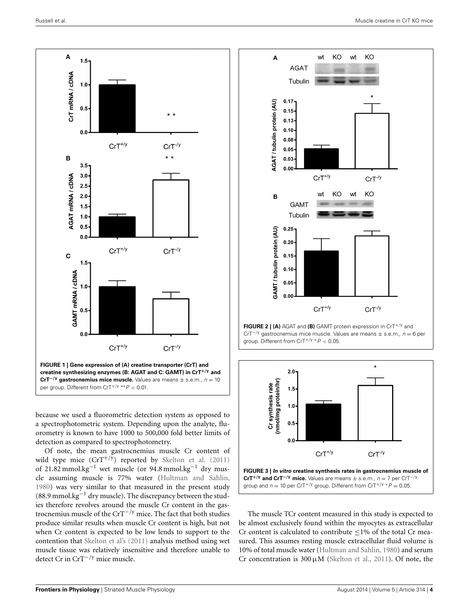



<span id="page-4-0"></span>because we used a fluorometric detection system as opposed to a spectrophotometric system. Depending upon the analyte, fluorometry is known to have 1000 to 500,000 fold better limits of detection as compared to spectrophotometry.

Of note, the mean gastrocnemius muscle Cr content of wild type mice  $(CT^{+/y})$  reported by [Skelton et al.](#page-6-6) [\(2011](#page-6-6)) of 21.82 mmol.kg<sup>-1</sup> wet muscle (or 94.8 mmol.kg<sup>-1</sup> dry muscle assuming muscle is 77% water [\(Hultman and Sahlin](#page-6-16), [1980](#page-6-16)) was very similar to that measured in the present study (88.9 mmol.kg−<sup>1</sup> dry muscle). The discrepancy between the studies therefore revolves around the muscle Cr content in the gastrocnemius muscle of the CrT−*/*<sup>y</sup> mice. The fact that both studies produce similar results when muscle Cr content is high, but not when Cr content is expected to be low lends to support to the contention that [Skelton et al's](#page-6-6) [\(2011](#page-6-6)) analysis method using wet muscle tissue was relatively insensitive and therefore unable to detect Cr in CrT−*/*<sup>y</sup> mice muscle.



<span id="page-4-1"></span>**FIGURE 2 | (A)** AGAT and **(B)** GAMT protein expression in CrT+*/*<sup>y</sup> and CrT−*/*<sup>y</sup> gastrocnemius mice muscle. Values are means <sup>±</sup> s.e.m., *<sup>n</sup>* <sup>=</sup> 6 per group. Different from CrT+*/*<sup>y</sup> <sup>∗</sup>*P <* 0*.*05.



<span id="page-4-2"></span>The muscle TCr content measured in this study is expected to be almost exclusively found within the myocytes as extracellular Cr content is calculated to contribute  $\leq$ 1% of the total Cr measured. This assumes resting muscle extracellular fluid volume is 10% of total muscle water [\(Hultman and Sahlin, 1980](#page-6-16)) and serum Cr concentration is  $300 \mu M$  [\(Skelton et al.](#page-6-6), [2011](#page-6-6)). Of note, the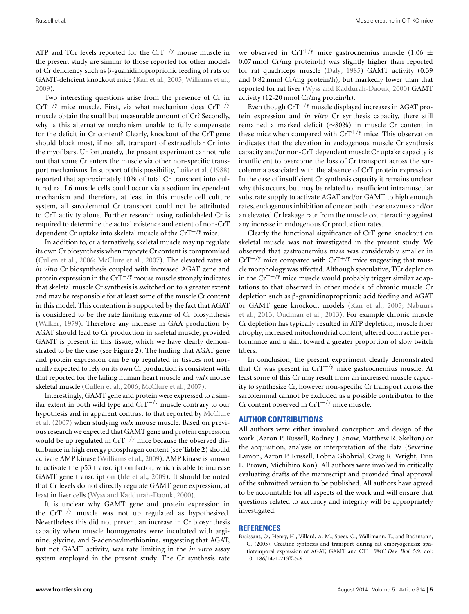ATP and TCr levels reported for the CrT−*/*<sup>y</sup> mouse muscle in the present study are similar to those reported for other models of Cr deficiency such as β-guanidinoproprionic feeding of rats or GAMT-deficient knockout mice [\(Kan et al.](#page-6-17), [2005;](#page-6-17) [Williams et al.,](#page-6-18) [2009](#page-6-18)).

Two interesting questions arise from the presence of Cr in CrT−*/*<sup>y</sup> mice muscle. First, via what mechanism does CrT−*/*<sup>y</sup> muscle obtain the small but measurable amount of Cr? Secondly, why is this alternative mechanism unable to fully compensate for the deficit in Cr content? Clearly, knockout of the CrT gene should block most, if not all, transport of extracellular Cr into the myofibers. Unfortunately, the present experiment cannot rule out that some Cr enters the muscle via other non-specific transport mechanisms. In support of this possibility, [Loike et al.](#page-6-19) [\(1988](#page-6-19)) reported that approximately 10% of total Cr transport into cultured rat L6 muscle cells could occur via a sodium independent mechanism and therefore, at least in this muscle cell culture system, all sarcolemmal Cr transport could not be attributed to CrT activity alone. Further research using radiolabeled Cr is required to determine the actual existence and extent of non-CrT dependent Cr uptake into skeletal muscle of the CrT−*/*<sup>y</sup> mice.

In addition to, or alternatively, skeletal muscle may up regulate its own Cr biosynthesis when myocyte Cr content is compromised [\(Cullen et al., 2006](#page-6-4); [McClure et al.](#page-6-5), [2007\)](#page-6-5). The elevated rates of *in vitro* Cr biosynthesis coupled with increased AGAT gene and protein expression in the CrT−*/*<sup>y</sup> mouse muscle strongly indicates that skeletal muscle Cr synthesis is switched on to a greater extent and may be responsible for at least some of the muscle Cr content in this model. This contention is supported by the fact that AGAT is considered to be the rate limiting enzyme of Cr biosynthesis [\(Walker](#page-6-20), [1979\)](#page-6-20). Therefore any increase in GAA production by AGAT should lead to Cr production in skeletal muscle, provided GAMT is present in this tissue, which we have clearly demonstrated to be the case (see **[Figure 2](#page-4-1)**). The finding that AGAT gene and protein expression can be up regulated in tissues not normally expected to rely on its own Cr production is consistent with that reported for the failing human heart muscle and *mdx* mouse skeletal muscle [\(Cullen et al., 2006](#page-6-4); [McClure et al.](#page-6-5), [2007\)](#page-6-5).

Interestingly, GAMT gene and protein were expressed to a similar extent in both wild type and CrT−*/*<sup>y</sup> muscle contrary to our hyp[othesis and in apparent contrast to that reported by](#page-6-5) McClure et al. [\(2007](#page-6-5)) when studying *mdx* mouse muscle. Based on previous research we expected that GAMT gene and protein expression would be up regulated in CrT−*/*<sup>y</sup> mice because the observed disturbance in high energy phosphagen content (see **[Table 2](#page-3-0)**) should activate AMP kinase [\(Williams et al.](#page-6-18), [2009\)](#page-6-18). AMP kinase is known to activate the p53 transcription factor, which is able to increase GAMT gene transcription [\(Ide et al., 2009\)](#page-6-13). It should be noted that Cr levels do not directly regulate GAMT gene expression, at least in liver cells [\(Wyss and Kaddurah-Daouk, 2000\)](#page-6-1).

It is unclear why GAMT gene and protein expression in the CrT−*/*<sup>y</sup> muscle was not up regulated as hypothesized. Nevertheless this did not prevent an increase in Cr biosynthesis capacity when muscle homogenates were incubated with arginine, glycine, and S-adenosylmethionine, suggesting that AGAT, but not GAMT activity, was rate limiting in the *in vitro* assay system employed in the present study. The Cr synthesis rate

we observed in CrT<sup>+/y</sup> mice gastrocnemius muscle (1.06  $\pm$ 0.07 nmol Cr/mg protein/h) was slightly higher than reported for rat quadriceps muscle [\(Daly, 1985\)](#page-6-3) GAMT activity (0.39 and 0.82 nmol Cr/mg protein/h), but markedly lower than that reported for rat liver [\(Wyss and Kaddurah-Daouk, 2000\)](#page-6-1) GAMT activity (12-20 nmol Cr/mg protein/h).

Even though CrT−*/*<sup>y</sup> muscle displayed increases in AGAT protein expression and *in vitro* Cr synthesis capacity, there still remained a marked deficit (∼80%) in muscle Cr content in these mice when compared with CrT+*/*<sup>y</sup> mice. This observation indicates that the elevation in endogenous muscle Cr synthesis capacity and/or non-CrT dependent muscle Cr uptake capacity is insufficient to overcome the loss of Cr transport across the sarcolemma associated with the absence of CrT protein expression. In the case of insufficient Cr synthesis capacity it remains unclear why this occurs, but may be related to insufficient intramuscular substrate supply to activate AGAT and/or GAMT to high enough rates, endogenous inhibition of one or both these enzymes and/or an elevated Cr leakage rate from the muscle counteracting against any increase in endogenous Cr production rates.

Clearly the functional significance of CrT gene knockout on skeletal muscle was not investigated in the present study. We observed that gastrocnemius mass was considerably smaller in CrT−*/*<sup>y</sup> mice compared with CrT+*/*<sup>y</sup> mice suggesting that muscle morphology was affected. Although speculative, TCr depletion in the CrT−*/*<sup>y</sup> mice muscle would probably trigger similar adaptations to that observed in other models of chronic muscle Cr depletion such as β-guanidinoproprionic acid feeding and AGAT or [GAMT gene knockout models](#page-6-21) [\(Kan et al.](#page-6-17)[,](#page-6-21) [2005](#page-6-17)[;](#page-6-21) Nabuurs et al., [2013;](#page-6-21) [Oudman et al., 2013](#page-6-22)). For example chronic muscle Cr depletion has typically resulted in ATP depletion, muscle fiber atrophy, increased mitochondrial content, altered contractile performance and a shift toward a greater proportion of slow twitch fibers.

In conclusion, the present experiment clearly demonstrated that Cr was present in CrT−*/*<sup>y</sup> mice gastrocnemius muscle. At least some of this Cr may result from an increased muscle capacity to synthesize Cr, however non-specific Cr transport across the sarcolemmal cannot be excluded as a possible contributor to the Cr content observed in CrT−*/*<sup>y</sup> mice muscle.

#### **AUTHOR CONTRIBUTIONS**

All authors were either involved conception and design of the work (Aaron P. Russell, Rodney J. Snow, Matthew R. Skelton) or the acquisition, analysis or interpretation of the data (Séverine Lamon, Aaron P. Russell, Lobna Ghobrial, Craig R. Wright, Erin L. Brown, Michihiro Kon). All authors were involved in critically evaluating drafts of the manuscript and provided final approval of the submitted version to be published. All authors have agreed to be accountable for all aspects of the work and will ensure that questions related to accuracy and integrity will be appropriately investigated.

#### **REFERENCES**

<span id="page-5-0"></span>Braissant, O., Henry, H., Villard, A. M., Speer, O., Wallimann, T., and Bachmann, C. (2005). Creatine synthesis and transport during rat embryogenesis: spatiotemporal expression of AGAT, GAMT and CT1. *BMC Dev. Biol.* 5:9. doi: 10.1186/1471-213X-5-9